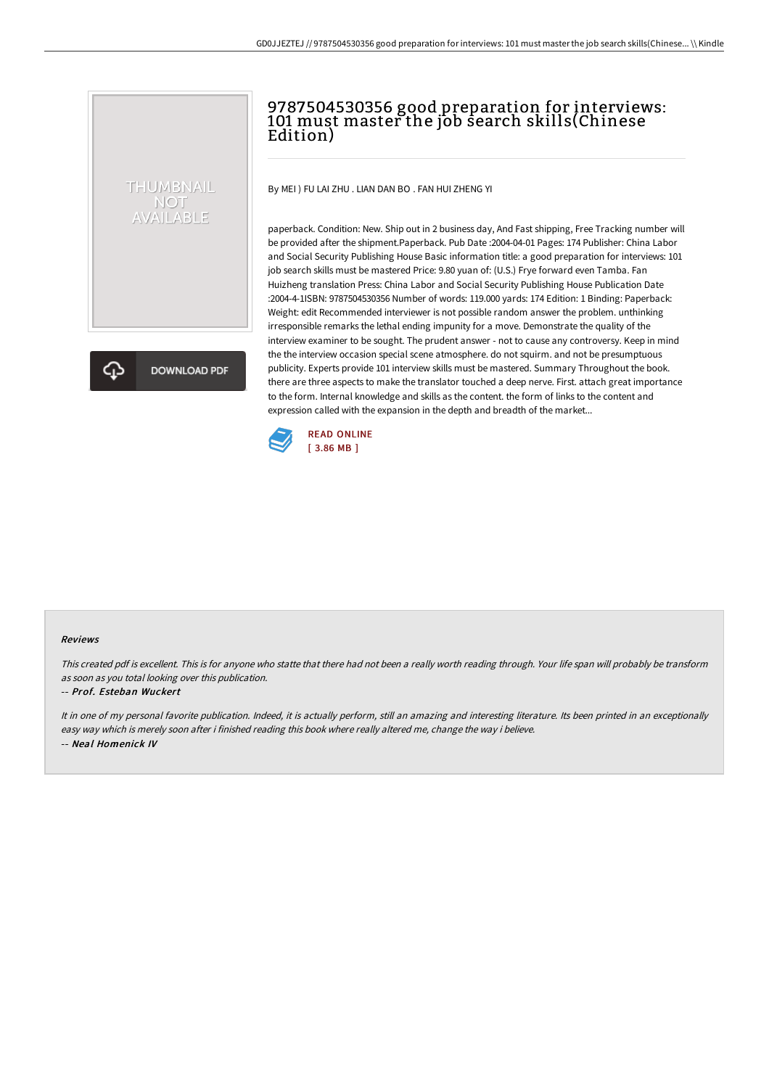# 9787504530356 good preparation for interviews: 101 must master the job search skills(Chinese Edition)

By MEI ) FU LAI ZHU . LIAN DAN BO . FAN HUI ZHENG YI

paperback. Condition: New. Ship out in 2 business day, And Fast shipping, Free Tracking number will be provided after the shipment.Paperback. Pub Date :2004-04-01 Pages: 174 Publisher: China Labor and Social Security Publishing House Basic information title: a good preparation for interviews: 101 job search skills must be mastered Price: 9.80 yuan of: (U.S.) Frye forward even Tamba. Fan Huizheng translation Press: China Labor and Social Security Publishing House Publication Date :2004-4-1ISBN: 9787504530356 Number of words: 119.000 yards: 174 Edition: 1 Binding: Paperback: Weight: edit Recommended interviewer is not possible random answer the problem. unthinking irresponsible remarks the lethal ending impunity for a move. Demonstrate the quality of the interview examiner to be sought. The prudent answer - not to cause any controversy. Keep in mind the the interview occasion special scene atmosphere. do not squirm. and not be presumptuous publicity. Experts provide 101 interview skills must be mastered. Summary Throughout the book. there are three aspects to make the translator touched a deep nerve. First. attach great importance to the form. Internal knowledge and skills as the content. the form of links to the content and expression called with the expansion in the depth and breadth of the market...



#### Reviews

This created pdf is excellent. This is for anyone who statte that there had not been <sup>a</sup> really worth reading through. Your life span will probably be transform as soon as you total looking over this publication.

#### -- Prof. Esteban Wuckert

THUMBNAIL NOT<br>AVAILABLE

**DOWNLOAD PDF** 

It in one of my personal favorite publication. Indeed, it is actually perform, still an amazing and interesting literature. Its been printed in an exceptionally easy way which is merely soon after i finished reading this book where really altered me, change the way i believe. -- Neal Homenick IV